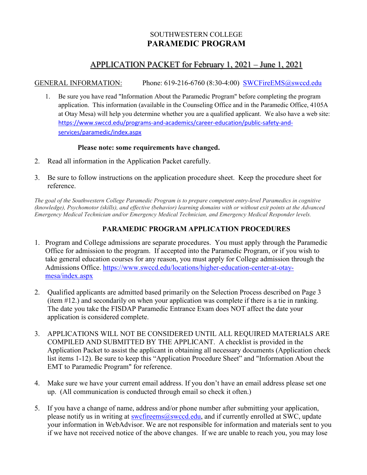# SOUTHWESTERN COLLEGE **PARAMEDIC PROGRAM**

# APPLICATION PACKET for February 1, 2021 – June 1, 2021

GENERAL INFORMATION: Phone: 619-216-6760 (8:30-4:00) [SWCFireEMS@swccd.edu](mailto:SWCFireEMS@swccd.edu)

1. Be sure you have read "Information About the Paramedic Program" before completing the program application. This information (available in the Counseling Office and in the Paramedic Office, 4105A at Otay Mesa) will help you determine whether you are a qualified applicant. We also have a web site: [https://www.swccd.edu/programs-and-academics/career-education/public-safety-and](https://www.swccd.edu/programs-and-academics/career-education/public-safety-and-services/paramedic/index.aspx)[services/paramedic/index.aspx](https://www.swccd.edu/programs-and-academics/career-education/public-safety-and-services/paramedic/index.aspx)

#### **Please note: some requirements have changed.**

- 2. Read all information in the Application Packet carefully.
- 3. Be sure to follow instructions on the application procedure sheet. Keep the procedure sheet for reference.

*The goal of the Southwestern College Paramedic Program is to prepare competent entry-level Paramedics in cognitive (knowledge), Psychomotor (skills), and effective (behavior) learning domains with or without exit points at the Advanced Emergency Medical Technician and/or Emergency Medical Technician, and Emergency Medical Responder levels.*

## **PARAMEDIC PROGRAM APPLICATION PROCEDURES**

- 1. Program and College admissions are separate procedures. You must apply through the Paramedic Office for admission to the program. If accepted into the Paramedic Program, or if you wish to take general education courses for any reason, you must apply for College admission through the Admissions Office. [https://www.swccd.edu/locations/higher-education-center-at-otay](https://www.swccd.edu/locations/higher-education-center-at-otay-mesa/index.aspx)[mesa/index.aspx](https://www.swccd.edu/locations/higher-education-center-at-otay-mesa/index.aspx)
- 2. Qualified applicants are admitted based primarily on the Selection Process described on Page 3 (item #12.) and secondarily on when your application was complete if there is a tie in ranking. The date you take the FISDAP Paramedic Entrance Exam does NOT affect the date your application is considered complete.
- 3. APPLICATIONS WILL NOT BE CONSIDERED UNTIL ALL REQUIRED MATERIALS ARE COMPILED AND SUBMITTED BY THE APPLICANT. A checklist is provided in the Application Packet to assist the applicant in obtaining all necessary documents (Application check list items 1-12). Be sure to keep this "Application Procedure Sheet" and "Information About the EMT to Paramedic Program" for reference.
- 4. Make sure we have your current email address. If you don't have an email address please set one up. (All communication is conducted through email so check it often.)
- 5. If you have a change of name, address and/or phone number after submitting your application, please notify us in writing at [swcfireems@swccd.edu,](mailto:swcfireems@swccd.edu) and if currently enrolled at SWC, update your information in WebAdvisor. We are not responsible for information and materials sent to you if we have not received notice of the above changes. If we are unable to reach you, you may lose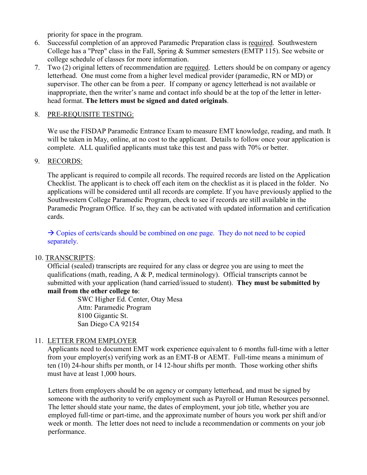priority for space in the program.

- 6. Successful completion of an approved Paramedic Preparation class is required. Southwestern College has a "Prep" class in the Fall, Spring & Summer semesters (EMTP 115). See website or college schedule of classes for more information.
- 7. Two (2) original letters of recommendation are required. Letters should be on company or agency letterhead. One must come from a higher level medical provider (paramedic, RN or MD) or supervisor. The other can be from a peer. If company or agency letterhead is not available or inappropriate, then the writer's name and contact info should be at the top of the letter in letterhead format. **The letters must be signed and dated originals**.

#### 8. PRE-REQUISITE TESTING:

We use the FISDAP Paramedic Entrance Exam to measure EMT knowledge, reading, and math. It will be taken in May, online, at no cost to the applicant. Details to follow once your application is complete. ALL qualified applicants must take this test and pass with 70% or better.

#### 9. RECORDS:

The applicant is required to compile all records. The required records are listed on the Application Checklist. The applicant is to check off each item on the checklist as it is placed in the folder. No applications will be considered until all records are complete. If you have previously applied to the Southwestern College Paramedic Program, check to see if records are still available in the Paramedic Program Office. If so, they can be activated with updated information and certification cards.

 $\rightarrow$  Copies of certs/cards should be combined on one page. They do not need to be copied separately.

#### 10. TRANSCRIPTS:

Official (sealed) transcripts are required for any class or degree you are using to meet the qualifications (math, reading,  $A \& P$ , medical terminology). Official transcripts cannot be submitted with your application (hand carried/issued to student). **They must be submitted by mail from the other college to**:

> SWC Higher Ed. Center, Otay Mesa Attn: Paramedic Program 8100 Gigantic St. San Diego CA 92154

#### 11. LETTER FROM EMPLOYER

Applicants need to document EMT work experience equivalent to 6 months full-time with a letter from your employer(s) verifying work as an EMT-B or AEMT. Full-time means a minimum of ten (10) 24-hour shifts per month, or 14 12-hour shifts per month. Those working other shifts must have at least 1,000 hours.

Letters from employers should be on agency or company letterhead, and must be signed by someone with the authority to verify employment such as Payroll or Human Resources personnel. The letter should state your name, the dates of employment, your job title, whether you are employed full-time or part-time, and the approximate number of hours you work per shift and/or week or month. The letter does not need to include a recommendation or comments on your job performance.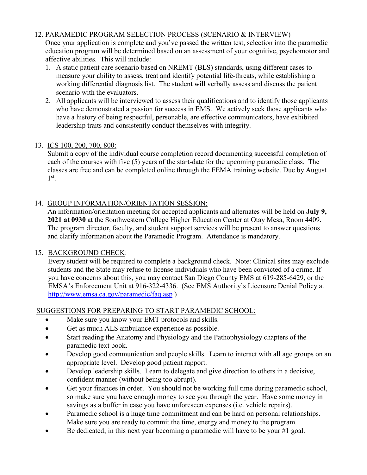### 12. PARAMEDIC PROGRAM SELECTION PROCESS (SCENARIO & INTERVIEW)

Once your application is complete and you've passed the written test, selection into the paramedic education program will be determined based on an assessment of your cognitive, psychomotor and affective abilities. This will include:

- 1. A static patient care scenario based on NREMT (BLS) standards, using different cases to measure your ability to assess, treat and identify potential life-threats, while establishing a working differential diagnosis list. The student will verbally assess and discuss the patient scenario with the evaluators.
- 2. All applicants will be interviewed to assess their qualifications and to identify those applicants who have demonstrated a passion for success in EMS. We actively seek those applicants who have a history of being respectful, personable, are effective communicators, have exhibited leadership traits and consistently conduct themselves with integrity.

### 13. ICS 100, 200, 700, 800:

Submit a copy of the individual course completion record documenting successful completion of each of the courses with five (5) years of the start-date for the upcoming paramedic class. The classes are free and can be completed online through the FEMA training website. Due by August  $1^{\text{st}}$ .

## 14. GROUP INFORMATION/ORIENTATION SESSION:

An information/orientation meeting for accepted applicants and alternates will be held on **July 9, 2021 at 0930** at the Southwestern College Higher Education Center at Otay Mesa, Room 4409. The program director, faculty, and student support services will be present to answer questions and clarify information about the Paramedic Program. Attendance is mandatory.

## 15. BACKGROUND CHECK:

Every student will be required to complete a background check. Note: Clinical sites may exclude students and the State may refuse to license individuals who have been convicted of a crime. If you have concerns about this, you may contact San Diego County EMS at 619-285-6429, or the EMSA's Enforcement Unit at 916-322-4336. (See EMS Authority's Licensure Denial Policy at <http://www.emsa.ca.gov/paramedic/faq.asp> )

### SUGGESTIONS FOR PREPARING TO START PARAMEDIC SCHOOL:

- Make sure you know your EMT protocols and skills.
- Get as much ALS ambulance experience as possible.
- Start reading the Anatomy and Physiology and the Pathophysiology chapters of the paramedic text book.
- Develop good communication and people skills. Learn to interact with all age groups on an appropriate level. Develop good patient rapport.
- Develop leadership skills. Learn to delegate and give direction to others in a decisive, confident manner (without being too abrupt).
- Get your finances in order. You should not be working full time during paramedic school, so make sure you have enough money to see you through the year. Have some money in savings as a buffer in case you have unforeseen expenses (i.e. vehicle repairs).
- Paramedic school is a huge time commitment and can be hard on personal relationships. Make sure you are ready to commit the time, energy and money to the program.
- Be dedicated; in this next year becoming a paramedic will have to be your  $#1$  goal.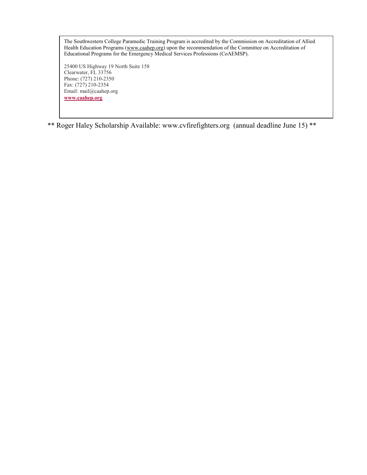The Southwestern College Paramedic Training Program is accredited by the Commission on Accreditation of Allied Health Education Programs [\(www.caahep.org\)](http://www.caahep.org/) upon the recommendation of the Committee on Accreditation of Educational Programs for the Emergency Medical Services Professions (CoAEMSP).

25400 US Highway 19 North Suite 158 Clearwater, FL 33756 Phone: (727) 210-2350 Fax: (727) 210-2354 Email: mail@caahep.org **[www.caahep.org](http://www.caahep.org/)**

\*\* Roger Haley Scholarship Available: [www.cvfirefighters.org](http://www.cvfirefighters.org/) (annual deadline June 15) \*\*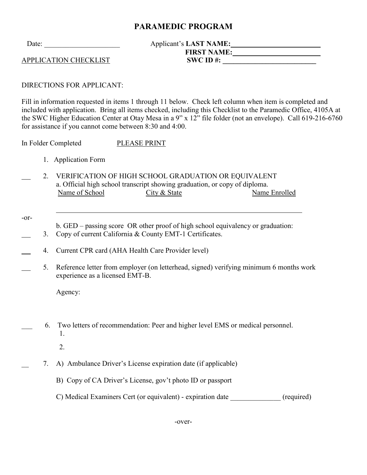# **PARAMEDIC PROGRAM**

## Date: Applicant's LAST NAME:  **FIRST NAME: \_\_\_\_\_\_\_\_\_\_\_\_\_\_\_\_\_\_\_\_\_\_\_\_**  APPLICATION CHECKLIST **SWC** ID #:

DIRECTIONS FOR APPLICANT:

Fill in information requested in items 1 through 11 below. Check left column when item is completed and included with application. Bring all items checked, including this Checklist to the Paramedic Office, 4105A at the SWC Higher Education Center at Otay Mesa in a 9" x 12" file folder (not an envelope). Call 619-216-6760 for assistance if you cannot come between 8:30 and 4:00.

In Folder Completed PLEASE PRINT

1. Application Form

 $\overline{a}$ 

- 2. VERIFICATION OF HIGH SCHOOL GRADUATION OR EQUIVALENT a. Official high school transcript showing graduation, or copy of diploma. Name of School City & State Name Enrolled
- -or-
- b. GED passing score OR other proof of high school equivalency or graduation:
- 3. Copy of current California & County EMT-1 Certificates.
- 4. Current CPR card (AHA Health Care Provider level)
	- 5. Reference letter from employer (on letterhead, signed) verifying minimum 6 months work experience as a licensed EMT-B.

Agency:

- \_\_\_ 6. Two letters of recommendation: Peer and higher level EMS or medical personnel. 1.
	- 2.
	- \_\_ 7. A) Ambulance Driver's License expiration date (if applicable)
		- B) Copy of CA Driver's License, gov't photo ID or passport
		- C) Medical Examiners Cert (or equivalent) expiration date (required)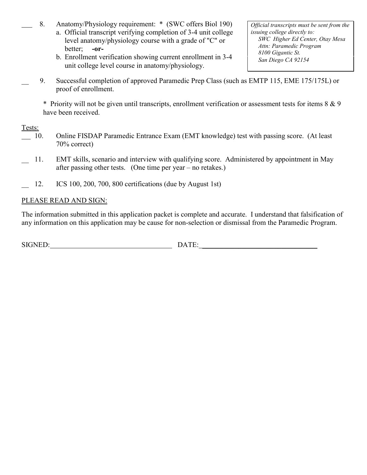- 8. Anatomy/Physiology requirement: \*(SWC offers Biol 190)
	- a. Official transcript verifying completion of 3-4 unit college level anatomy/physiology course with a grade of "C" or better; **-or-**
	- b. Enrollment verification showing current enrollment in 3-4 unit college level course in anatomy/physiology.
- \_\_ 9. Successful completion of approved Paramedic Prep Class (such as EMTP 115, EME 175/175L) or proof of enrollment.

\* Priority will not be given until transcripts, enrollment verification or assessment tests for items 8 & 9 have been received.

Tests:

- 10. Online FISDAP Paramedic Entrance Exam (EMT knowledge) test with passing score. (At least 70% correct)
- 11. EMT skills, scenario and interview with qualifying score. Administered by appointment in May after passing other tests. (One time per year – no retakes.)
- \_\_ 12. ICS 100, 200, 700, 800 certifications (due by August 1st)

### PLEASE READ AND SIGN:

The information submitted in this application packet is complete and accurate. I understand that falsification of any information on this application may be cause for non-selection or dismissal from the Paramedic Program.

SIGNED: DATE:

*Official transcripts must be sent from the issuing college directly to: SWC Higher Ed Center, Otay Mesa Attn: Paramedic Program 8100 Gigantic St. San Diego CA 92154*